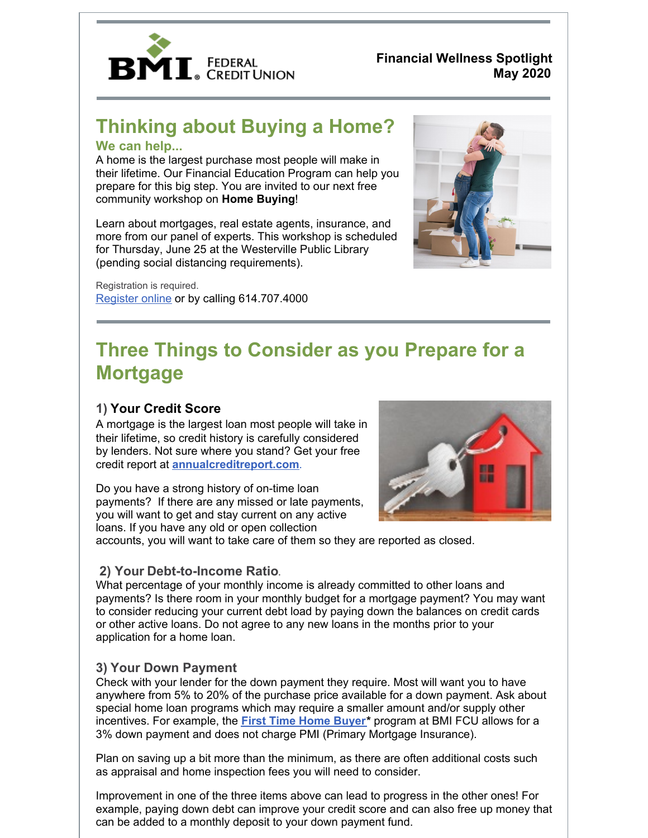

**Financial Wellness Spotlight May 2020**

## **Thinking about Buying a Home? We can help...**

A home is the largest purchase most people will make in their lifetime. Our Financial Education Program can help you prepare for this big step. You are invited to our next free community workshop on **Home Buying**!

Learn about mortgages, real estate agents, insurance, and more from our panel of experts. This workshop is scheduled for Thursday, June 25 at the Westerville Public Library (pending social distancing requirements).

Registration is required. [Register](https://www.bmifcu.org/calendarindex.html) online or by calling 614.707.4000



# **Three Things to Consider as you Prepare for a Mortgage**

### **1) Your Credit Score**

A mortgage is the largest loan most people will take in their lifetime, so credit history is carefully considered by lenders. Not sure where you stand? Get your free credit report at **[annualcreditreport.com](https://www.annualcreditreport.com/index.action)**.

Do you have a strong history of on-time loan payments? If there are any missed or late payments, you will want to get and stay current on any active loans. If you have any old or open collection



accounts, you will want to take care of them so they are reported as closed.

#### **2) Your Debt-to-Income Ratio**.

What percentage of your monthly income is already committed to other loans and payments? Is there room in your monthly budget for a mortgage payment? You may want to consider reducing your current debt load by paying down the balances on credit cards or other active loans. Do not agree to any new loans in the months prior to your application for a home loan.

#### **3) Your Down Payment**

Check with your lender for the down payment they require. Most will want you to have anywhere from 5% to 20% of the purchase price available for a down payment. Ask about special home loan programs which may require a smaller amount and/or supply other incentives. For example, the **First Time Home [Buyer](https://www.bmifcu.org/first_time_home_buyer.html)\*** program at BMI FCU allows for a 3% down payment and does not charge PMI (Primary Mortgage Insurance).

Plan on saving up a bit more than the minimum, as there are often additional costs such as appraisal and home inspection fees you will need to consider.

Improvement in one of the three items above can lead to progress in the other ones! For example, paying down debt can improve your credit score and can also free up money that can be added to a monthly deposit to your down payment fund.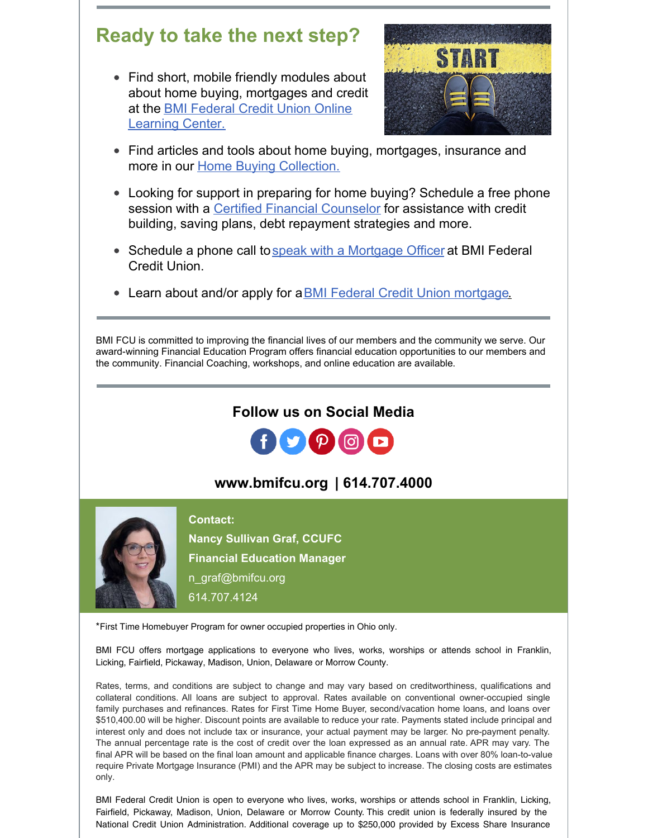## **Ready to take the next step?**

Find short, mobile friendly modules about about home buying, mortgages and credit at the BMI Federal Credit Union Online [Learning](https://www.bmifcu.org/onlinelearning.html) Center.



- Find articles and tools about home buying, mortgages, insurance and more in our Home Buying [Collection.](https://bmifcu.learnbanzai.com/wellness/topics/housing)
- Looking for support in preparing for home buying? Schedule a free phone session with a Certified Financial [Counselor](https://www.bmifcu.org/financial_coach.html) for assistance with credit building, saving plans, debt repayment strategies and more.
- Schedule a phone call to speak with a [Mortgage](https://www.bmifcu.org/callrequest.html) Officer at BMI Federal Credit Union.
- Learn about and/or apply for a **BMI Federal Credit Union mortgage**.

BMI [FCU](https://www.bmifcu.org/) is committed to improving the financial lives of our members and the community we serve. Our award-winning Financial Education Program offers financial education opportunities to our members and the community. Financial Coaching, workshops, and online education are available.

### **Follow us on Social Media**



## **[www.bmifcu.org](https://www.bmifcu.org/index.html) | 614.707.4000**



#### **Contact:**

**Nancy Sullivan Graf, CCUFC Financial Education Manager** [n\\_graf@bmifcu.org](mailto:n_graf@bmifcu.org) 614.707.4124

\*First Time Homebuyer Program for owner occupied properties in Ohio only.

BMI FCU offers mortgage applications to everyone who lives, works, worships or attends school in Franklin, Licking, Fairfield, Pickaway, Madison, Union, Delaware or Morrow County.

Rates, terms, and conditions are subject to change and may vary based on creditworthiness, qualifications and collateral conditions. All loans are subject to approval. Rates available on conventional owner-occupied single family purchases and refinances. Rates for First Time Home Buyer, second/vacation home loans, and loans over \$510,400.00 will be higher. Discount points are available to reduce your rate. Payments stated include principal and interest only and does not include tax or insurance, your actual payment may be larger. No pre-payment penalty. The annual percentage rate is the cost of credit over the loan expressed as an annual rate. APR may vary. The final APR will be based on the final loan amount and applicable finance charges. Loans with over 80% loan-to-value require Private Mortgage Insurance (PMI) and the APR may be subject to increase. The closing costs are estimates only.

BMI Federal Credit Union is open to everyone who lives, works, worships or attends school in Franklin, Licking, Fairfield, Pickaway, Madison, Union, Delaware or Morrow County. This credit union is federally insured by the National Credit Union Administration. Additional coverage up to \$250,000 provided by Excess Share Insurance